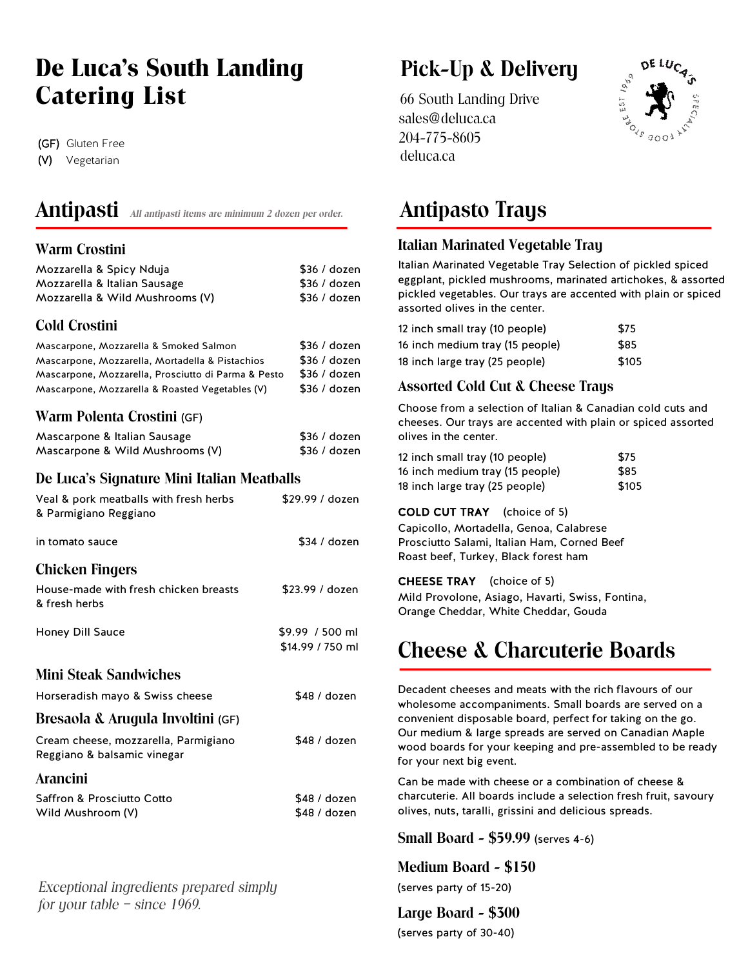# **De Luca's South Landing Fick-Up & Delivery Catering List** 66 South Landing Drive

(GF) Gluten Free

(V) Vegetarian

## **Antipasti** *All antipasti items are minimum 2 dozen per order.* **Antipasto Trays**

### **Warm Crostini**

| Mozzarella & Spicy Nduja        | \$36/dozen |
|---------------------------------|------------|
| Mozzarella & Italian Sausage    | \$36/dozen |
| Mozzarella & Wild Mushrooms (V) | \$36/dozen |

### **Cold Crostini**

| Mascarpone, Mozzarella & Smoked Salmon<br>Mascarpone, Mozzarella, Mortadella & Pistachios<br>Mascarpone, Mozzarella, Prosciutto di Parma & Pesto<br>Mascarpone, Mozzarella & Roasted Vegetables (V) | \$36/dozen<br>\$36/dozen<br>\$36/dozen<br>\$36/dozen |
|-----------------------------------------------------------------------------------------------------------------------------------------------------------------------------------------------------|------------------------------------------------------|
|                                                                                                                                                                                                     |                                                      |
|                                                                                                                                                                                                     |                                                      |

### **Warm Polenta Crostini** (GF)

| Mascarpone & Italian Sausage    | \$36/dozen |
|---------------------------------|------------|
| Mascarpone & Wild Mushrooms (V) | \$36/dozen |

### **De Luca's Signature Mini Italian Meatballs**

| Veal & pork meatballs with fresh herbs<br>& Parmigiano Reggiano     | \$29.99 / dozen                     |
|---------------------------------------------------------------------|-------------------------------------|
| in tomato sauce                                                     | \$34 / dozen                        |
| <b>Chicken Fingers</b>                                              |                                     |
| House-made with fresh chicken breasts<br>& fresh herbs              | \$23.99 / dozen                     |
| Honey Dill Sauce                                                    | \$9.99 / 500 ml<br>\$14.99 / 750 ml |
| Mini Steak Sandwiches                                               |                                     |
| Horseradish mayo & Swiss cheese                                     | \$48 / dozen                        |
| Bresaola & Arugula Involtini (GF)                                   |                                     |
| Cream cheese, mozzarella, Parmigiano<br>Reggiano & balsamic vinegar | \$48 / dozen                        |
| Arancini                                                            |                                     |
| Saffron & Prosciutto Cotto<br>Wild Mushroom (V)                     | \$48 / dozen<br>\$48 / dozen        |

 $\ddot{\phantom{a}}$ *Exceptional ingredients prepared simply for your table – since 1969.*

 sales@deluca.ca 204-775-8605 deluca.ca



### **Italian Marinated Vegetable Tray**

Italian Marinated Vegetable Tray Selection of pickled spiced eggplant, pickled mushrooms, marinated artichokes, & assorted pickled vegetables. Our trays are accented with plain or spiced assorted olives in the center.

| 12 inch small tray (10 people)  | \$75  |
|---------------------------------|-------|
| 16 inch medium tray (15 people) | \$85  |
| 18 inch large tray (25 people)  | \$105 |

### **Assorted Cold Cut & Cheese Trays**

Choose from a selection of Italian & Canadian cold cuts and cheeses. Our trays are accented with plain or spiced assorted olives in the center.

| 12 inch small tray (10 people)  | \$75  |
|---------------------------------|-------|
| 16 inch medium tray (15 people) | \$85  |
| 18 inch large tray (25 people)  | \$105 |

COLD CUT TRAY (choice of 5) Capicollo, Mortadella, Genoa, Calabrese Prosciutto Salami, Italian Ham, Corned Beef Roast beef, Turkey, Black forest ham

CHEESE TRAY (choice of 5) Mild Provolone, Asiago, Havarti, Swiss, Fontina, Orange Cheddar, White Cheddar, Gouda

# **Cheese & Charcuterie Boards**

Decadent cheeses and meats with the rich flavours of our wholesome accompaniments. Small boards are served on a convenient disposable board, perfect for taking on the go. Our medium & large spreads are served on Canadian Maple wood boards for your keeping and pre-assembled to be ready for your next big event.

Can be made with cheese or a combination of cheese & charcuterie. All boards include a selection fresh fruit, savoury olives, nuts, taralli, grissini and delicious spreads.

**Small Board - \$59.99** (serves 4-6)

**Medium Board - \$150** (serves party of 15-20)

**Large Board - \$300** (serves party of 30-40)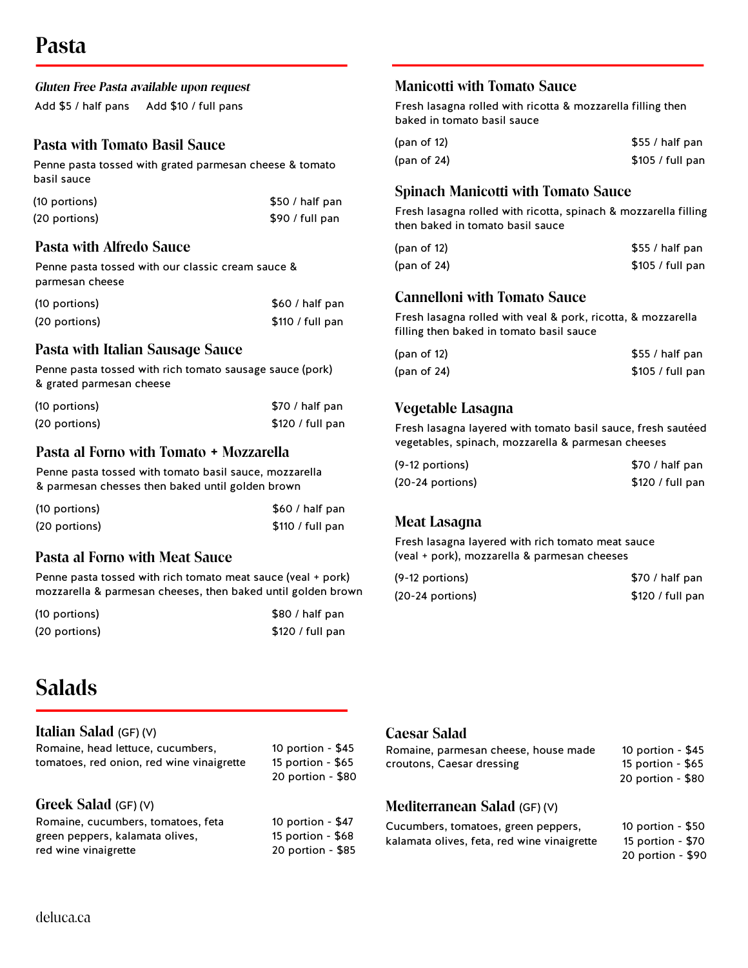|                     | Gluten Free Pasta available upon request |
|---------------------|------------------------------------------|
| Add \$5 / half pans | Add \$10 / full pans                     |

### **Pasta with Tomato Basil Sauce**

Penne pasta tossed with grated parmesan cheese & tomato basil sauce

| (10 portions) | \$50 / half pan |
|---------------|-----------------|
| (20 portions) | \$90 / full pan |

### **Pasta with Alfredo Sauce**

Penne pasta tossed with our classic cream sauce & parmesan cheese

| (10 portions) | \$60 / half pan  |
|---------------|------------------|
| (20 portions) | \$110 / full pan |

### **Pasta with Italian Sausage Sauce**

Penne pasta tossed with rich tomato sausage sauce (pork) & grated parmesan cheese

| (10 portions) | \$70 / half pan  |
|---------------|------------------|
| (20 portions) | \$120 / full pan |

### **Pasta al Forno with Tomato + Mozzarella**

Penne pasta tossed with tomato basil sauce, mozzarella & parmesan chesses then baked until golden brown

| (10 portions) | \$60 / half pan  |
|---------------|------------------|
| (20 portions) | \$110 / full pan |

### **Pasta al Forno with Meat Sauce**

Penne pasta tossed with rich tomato meat sauce (veal + pork) mozzarella & parmesan cheeses, then baked until golden brown

| (10 portions) | \$80 / half pan  |
|---------------|------------------|
| (20 portions) | \$120 / full pan |

### **Manicotti with Tomato Sauce**

Fresh lasagna rolled with ricotta & mozzarella filling then baked in tomato basil sauce

| (pan of 12) | $$55/$ half pan  |
|-------------|------------------|
| (pan of 24) | \$105 / full pan |

### **Spinach Manicotti with Tomato Sauce**

Fresh lasagna rolled with ricotta, spinach & mozzarella filling then baked in tomato basil sauce

| (pan of 12) | $$55/$ half pan  |
|-------------|------------------|
| (pan of 24) | \$105 / full pan |

### **Cannelloni with Tomato Sauce**

Fresh lasagna rolled with veal & pork, ricotta, & mozzarella filling then baked in tomato basil sauce

| (pan of 12)    | $$55/$ half pan  |
|----------------|------------------|
| (pan of $24$ ) | \$105 / full pan |

## S **Vegetable Lasagna**

Fresh lasagna layered with tomato basil sauce, fresh sautéed vegetables, spinach, mozzarella & parmesan cheeses

| $(9-12$ portions)  | \$70 / half pan  |
|--------------------|------------------|
| $(20-24$ portions) | \$120 / full pan |

# S **Meat Lasagna**

Fresh lasagna layered with rich tomato meat sauce (veal + pork), mozzarella & parmesan cheeses

| $(9-12$ portions)  | \$70 / half pan  |
|--------------------|------------------|
| $(20-24$ portions) | \$120 / full pan |

# **Salads**

### **Italian Salad** (GF) (V)

| Romaine, head lettuce, cucumbers,<br>tomatoes, red onion, red wine vinaigrette | 10 portion - $$45$<br>15 portion - $$65$<br>20 portion - \$80 |
|--------------------------------------------------------------------------------|---------------------------------------------------------------|
| Greek Salad $(GF)(V)$                                                          |                                                               |
| Romaine, cucumbers, tomatoes, feta                                             | 10 portion - \$47                                             |
| green peppers, kalamata olives,                                                | 15 portion - $$68$                                            |
| red wine vinaigrette                                                           | 20 portion - \$85                                             |

### **Caesar Salad**

| Romaine, parmesan cheese, house made | 10 portion - $$45$ |
|--------------------------------------|--------------------|
| croutons, Caesar dressing            | 15 portion - \$65  |
|                                      | 20 portion - \$80  |

### **Mediterranean Salad** (GF) (V)

| Cucumbers, tomatoes, green peppers,         | 10 portion - $$50$ |
|---------------------------------------------|--------------------|
| kalamata olives, feta, red wine vinaigrette | 15 portion - \$70  |
|                                             | 20 portion - \$90  |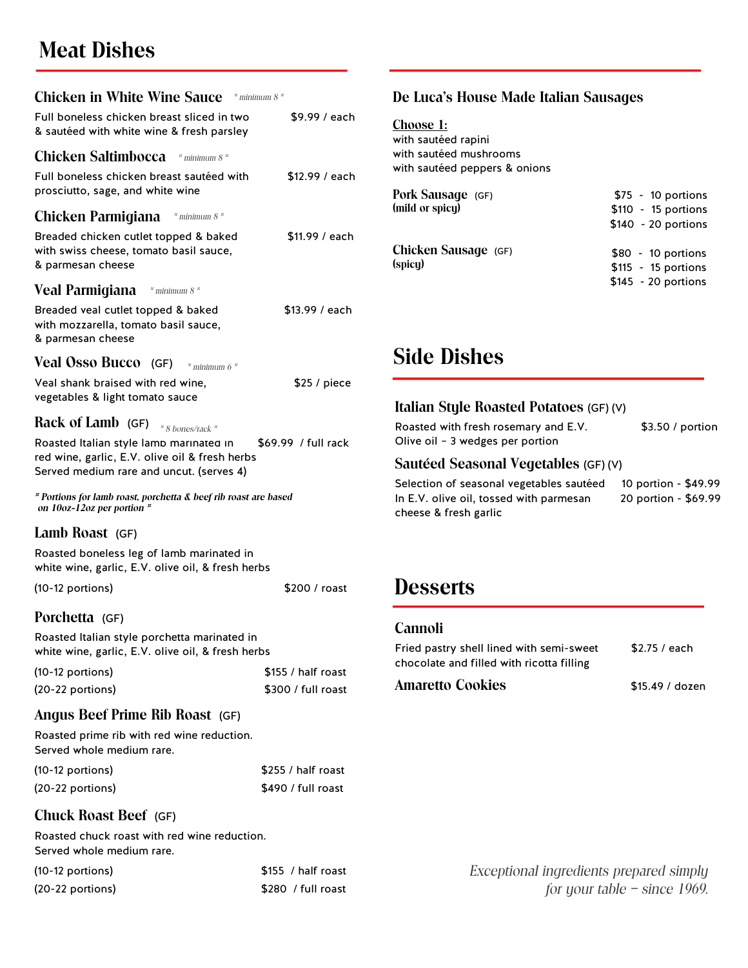# **Meat Dishes**

| <b>Chicken in White Wine Sauce</b> * minimum 8 *                                                                                      |                     |
|---------------------------------------------------------------------------------------------------------------------------------------|---------------------|
| Full boneless chicken breast sliced in two<br>& sautéed with white wine & fresh parsley                                               | \$9.99 / each       |
| <b>Chicken Saltimbocca</b> * minimum 8 *                                                                                              |                     |
| Full boneless chicken breast sautéed with<br>prosciutto, sage, and white wine                                                         | \$12.99 / each      |
| <b>Chicken Parmigiana</b> * minimum 8 *                                                                                               |                     |
| Breaded chicken cutlet topped & baked<br>with swiss cheese, tomato basil sauce,<br>& parmesan cheese                                  | \$11.99 / each      |
| Veal Parmigiana * minimum 8 *                                                                                                         |                     |
| Breaded veal cutlet topped & baked<br>with mozzarella, tomato basil sauce,<br>& parmesan cheese                                       | \$13.99 / each      |
| <b>Veal Osso Bucco</b> (GF) $*$ minimum 6 $*$                                                                                         |                     |
| Veal shank braised with red wine,<br>vegetables & light tomato sauce                                                                  | \$25 / piece        |
| Rack of Lamb (GF) $*_{8 \text{ bones/rack}}$                                                                                          |                     |
| Roasted Italian style lamb marinated in<br>red wine, garlic, E.V. olive oil & fresh herbs<br>Served medium rare and uncut. (serves 4) | \$69.99 / full rack |
| * Portions for lamb roast, porchetta & beef rib roast are based<br>on 10oz-12oz per portion $*$                                       |                     |
| Lamb Roast (GF)                                                                                                                       |                     |
| Roasted boneless leg of lamb marinated in<br>white wine, garlic, E.V. olive oil, & fresh herbs                                        |                     |
| (10-12 portions)                                                                                                                      | \$200 / roast       |
| Porchetta (GF)                                                                                                                        |                     |
| Roasted Italian style porchetta marinated in<br>white wine, garlic, E.V. olive oil, & fresh herbs                                     |                     |
| (10-12 portions)                                                                                                                      | \$155 / half roast  |
| (20-22 portions)                                                                                                                      | \$300 / full roast  |
| Angus Beef Prime Rib Roast (GF)                                                                                                       |                     |
| Roasted prime rib with red wine reduction.<br>Served whole medium rare.                                                               |                     |
| (10-12 portions)                                                                                                                      | \$255 / half roast  |
| (20-22 portions)                                                                                                                      | \$490 / full roast  |

### **Chuck Roast Beef** (GF)

Roasted chuck roast with red wine reduction. Served whole medium rare.

| $(10-12$ portions) | \$155 / half roast |
|--------------------|--------------------|
| $(20-22$ portions) | \$280 / full roast |

### **De Luca's House Made Italian Sausages**

**Choose 1:** with sautéed rapini with sautéed mushrooms with sautéed peppers & onions

| Pork Sausage (GF)<br>(mild or spicy) | $$75 - 10$ portions<br>$$110 - 15$ portions<br>$$140 - 20$ portions |
|--------------------------------------|---------------------------------------------------------------------|
| Chicken Sausage (GF)<br>(spicy)      | $$80 - 10$ portions<br>$$115 - 15$ portions<br>$$145 - 20$ portions |

# **Side Dishes**

### **Italian Style Roasted Potatoes** (GF) (V)

| Roasted with fresh rosemary and E.V. | \$3.50 / portion |
|--------------------------------------|------------------|
| Olive oil - 3 wedges per portion     |                  |

### **Sautéed Seasonal Vegetables** (GF) (V)

Selection of seasonal vegetables sautéed 10 portion - \$49.99 In E.V. olive oil, tossed with parmesan 20 portion - \$69.99 cheese & fresh garlic

## **Desserts**

### **Cannoli**

| Fried pastry shell lined with semi-sweet  | \$2.75 / each   |
|-------------------------------------------|-----------------|
| chocolate and filled with ricotta filling |                 |
| Amaretto Cookies                          | \$15.49 / dozen |

*Exceptional ingredients prepared simply for your table – since 1969.*